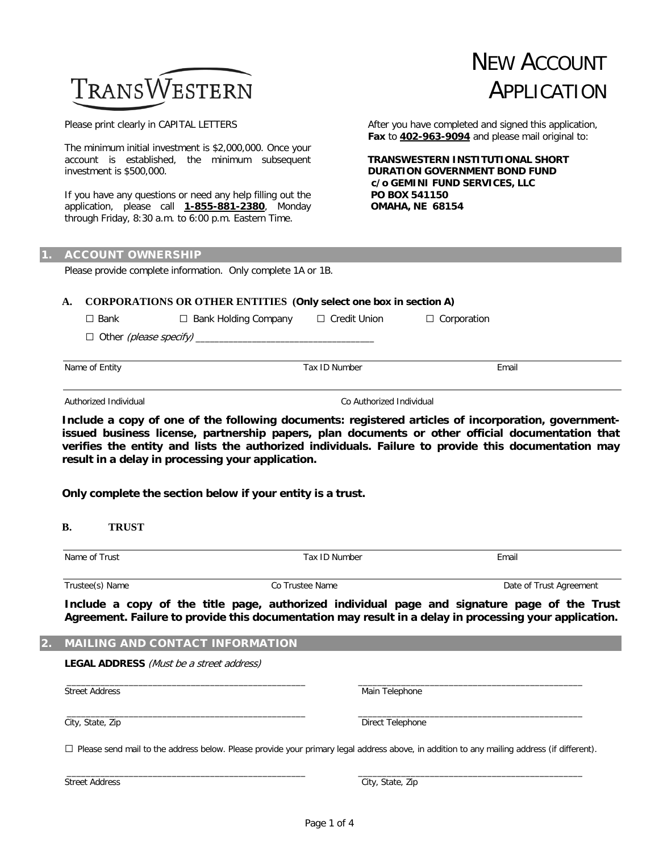# TRANSWESTERN

Please print clearly in CAPITAL LETTERS

The minimum initial investment is \$2,000,000. Once your account is established, the minimum subsequent investment is \$500,000.

If you have any questions or need any help filling out the application, please call **1-855-881-2380**, Monday through Friday, 8:30 a.m. to 6:00 p.m. Eastern Time.

After you have completed and signed this application, **Fax** to **402-963-9094** and please mail original to:

NEW ACCOUNT

APPLICATION

 **TRANSWESTERN INSTITUTIONAL SHORT DURATION GOVERNMENT BOND FUND c/o GEMINI FUND SERVICES, LLC PO BOX 541150 OMAHA, NE 68154**

#### **ACCOUNT OWNERSHIP**

Please provide complete information. Only complete 1A or 1B.

## **A. CORPORATIONS OR OTHER ENTITIES (Only select one box in section A)**

| $\Box$ Bank    | $\Box$ Bank Holding Company | $\Box$ Credit Union | $\Box$ Corporation |  |
|----------------|-----------------------------|---------------------|--------------------|--|
|                |                             |                     |                    |  |
|                |                             |                     |                    |  |
| Name of Entity |                             | Tax ID Number       | Email              |  |
|                |                             |                     |                    |  |

Authorized Individual Co Authorized Individual

**Include a copy of one of the following documents: registered articles of incorporation, governmentissued business license, partnership papers, plan documents or other official documentation that verifies the entity and lists the authorized individuals. Failure to provide this documentation may result in a delay in processing your application.**

**Only complete the section below if your entity is a trust.**

#### **B. TRUST**

| Name of Trust   | Tax ID Number   | Email                   |  |  |
|-----------------|-----------------|-------------------------|--|--|
|                 |                 |                         |  |  |
| Trustee(s) Name | Co Trustee Name | Date of Trust Agreement |  |  |

**Include a copy of the title page, authorized individual page and signature page of the Trust Agreement. Failure to provide this documentation may result in a delay in processing your application.**

#### **MAILING AND CONTACT INFORMATION**

**LEGAL ADDRESS** (Must be a street address)

Street Address Main Telephone

City, State, Zip **Direct Telephone** 

 $\square$  Please send mail to the address below. Please provide your primary legal address above, in addition to any mailing address (if different).

\_\_\_\_\_\_\_\_\_\_\_\_\_\_\_\_\_\_\_\_\_\_\_\_\_\_\_\_\_\_\_\_\_\_\_\_\_\_\_\_\_\_\_\_\_\_\_\_\_\_ \_\_\_\_\_\_\_\_\_\_\_\_\_\_\_\_\_\_\_\_\_\_\_\_\_\_\_\_\_\_\_\_\_\_\_\_\_\_\_\_\_\_\_\_\_\_\_

\_\_\_\_\_\_\_\_\_\_\_\_\_\_\_\_\_\_\_\_\_\_\_\_\_\_\_\_\_\_\_\_\_\_\_\_\_\_\_\_\_\_\_\_\_\_\_\_\_\_ \_\_\_\_\_\_\_\_\_\_\_\_\_\_\_\_\_\_\_\_\_\_\_\_\_\_\_\_\_\_\_\_\_\_\_\_\_\_\_\_\_\_\_\_\_\_\_

\_\_\_\_\_\_\_\_\_\_\_\_\_\_\_\_\_\_\_\_\_\_\_\_\_\_\_\_\_\_\_\_\_\_\_\_\_\_\_\_\_\_\_\_\_\_\_\_\_\_ \_\_\_\_\_\_\_\_\_\_\_\_\_\_\_\_\_\_\_\_\_\_\_\_\_\_\_\_\_\_\_\_\_\_\_\_\_\_\_\_\_\_\_\_\_\_\_

Street Address City, State, Zip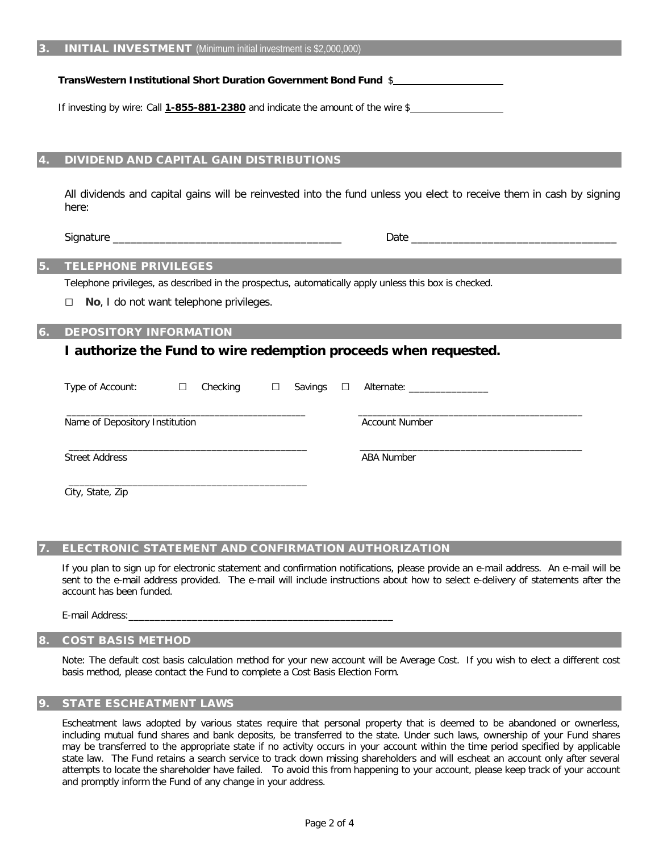**TransWestern Institutional Short Duration Government Bond Fund** \$

If investing by wire: Call **1-855-881-2380** and indicate the amount of the wire \$

### 4. DIVIDEND AND CAPITAL GAIN DISTRIBUTIONS

All dividends and capital gains will be reinvested into the fund unless you elect to receive them in cash by signing here:

Signature \_\_\_\_\_\_\_\_\_\_\_\_\_\_\_\_\_\_\_\_\_\_\_\_\_\_\_\_\_\_\_\_\_\_\_\_\_\_\_ Date \_\_\_\_\_\_\_\_\_\_\_\_\_\_\_\_\_\_\_\_\_\_\_\_\_\_\_\_\_\_\_\_\_\_\_

# 5. TELEPHONE PRIVILEGES

Telephone privileges, as described in the prospectus, automatically apply unless this box is checked.

□ **No**, I do not want telephone privileges.

# DEPOSITORY INFORMATION

# **I authorize the Fund to wire redemption proceeds when requested.**

| Type of Account:               | $\Box$ | Checking | $\Box$ | Savings $\Box$ |  | Alternate: _________________ |  |
|--------------------------------|--------|----------|--------|----------------|--|------------------------------|--|
| Name of Depository Institution |        |          |        |                |  | <b>Account Number</b>        |  |
| <b>Street Address</b>          |        |          |        |                |  | <b>ABA Number</b>            |  |
|                                |        |          |        |                |  |                              |  |

City, State, Zip

#### 7. ELECTRONIC STATEMENT AND CONFIRMATION AUTHORIZATION

If you plan to sign up for electronic statement and confirmation notifications, please provide an e-mail address. An e-mail will be sent to the e-mail address provided. The e-mail will include instructions about how to select e-delivery of statements after the account has been funded.

E-mail Address:\_\_\_\_\_\_\_\_\_\_\_\_\_\_\_\_\_\_\_\_\_\_\_\_\_\_\_\_\_\_\_\_\_\_\_\_\_\_\_\_\_\_\_\_\_\_\_\_\_\_

## 8. COST BASIS METHOD

Note: The default cost basis calculation method for your new account will be Average Cost. If you wish to elect a different cost basis method, please contact the Fund to complete a Cost Basis Election Form.

## **STATE ESCHEATMENT LAWS**

Escheatment laws adopted by various states require that personal property that is deemed to be abandoned or ownerless, including mutual fund shares and bank deposits, be transferred to the state. Under such laws, ownership of your Fund shares may be transferred to the appropriate state if no activity occurs in your account within the time period specified by applicable state law. The Fund retains a search service to track down missing shareholders and will escheat an account only after several attempts to locate the shareholder have failed. To avoid this from happening to your account, please keep track of your account and promptly inform the Fund of any change in your address.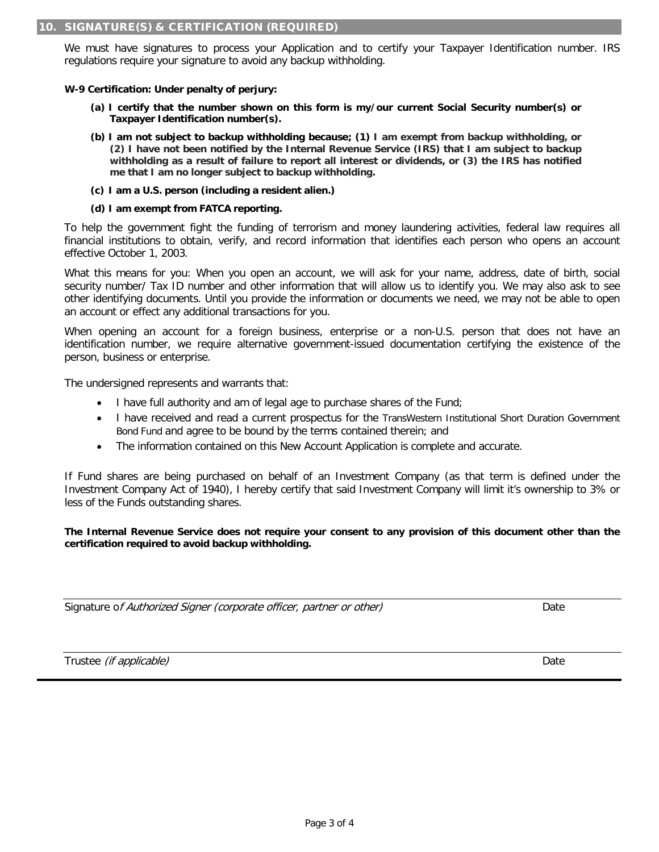We must have signatures to process your Application and to certify your Taxpayer Identification number. IRS regulations require your signature to avoid any backup withholding.

**W-9 Certification: Under penalty of perjury:**

- **(a) I certify that the number shown on this form is my/our current Social Security number(s) or Taxpayer Identification number(s).**
- **(b) I am not subject to backup withholding because; (1) I am exempt from backup withholding, or (2) I have not been notified by the Internal Revenue Service (IRS) that I am subject to backup withholding as a result of failure to report all interest or dividends, or (3) the IRS has notified me that I am no longer subject to backup withholding.**
- **(c) I am a U.S. person (including a resident alien.)**
- **(d) I am exempt from FATCA reporting.**

To help the government fight the funding of terrorism and money laundering activities, federal law requires all financial institutions to obtain, verify, and record information that identifies each person who opens an account effective October 1, 2003.

What this means for you: When you open an account, we will ask for your name, address, date of birth, social security number/ Tax ID number and other information that will allow us to identify you. We may also ask to see other identifying documents. Until you provide the information or documents we need, we may not be able to open an account or effect any additional transactions for you.

When opening an account for a foreign business, enterprise or a non-U.S. person that does not have an identification number, we require alternative government-issued documentation certifying the existence of the person, business or enterprise.

The undersigned represents and warrants that:

- I have full authority and am of legal age to purchase shares of the Fund;
- I have received and read a current prospectus for the TransWestern Institutional Short Duration Government Bond Fund and agree to be bound by the terms contained therein; and
- The information contained on this New Account Application is complete and accurate.

If Fund shares are being purchased on behalf of an Investment Company (as that term is defined under the Investment Company Act of 1940), I hereby certify that said Investment Company will limit it's ownership to 3% or less of the Funds outstanding shares.

**The Internal Revenue Service does not require your consent to any provision of this document other than the certification required to avoid backup withholding.**

Signature of Authorized Signer (corporate officer, partner or other) Date

Trustee *(if applicable)* Date Date of the Control of the Control of the Control of the Control of the Control of the Control of the Control of the Control of the Control of the Control of the Control of the Control of the